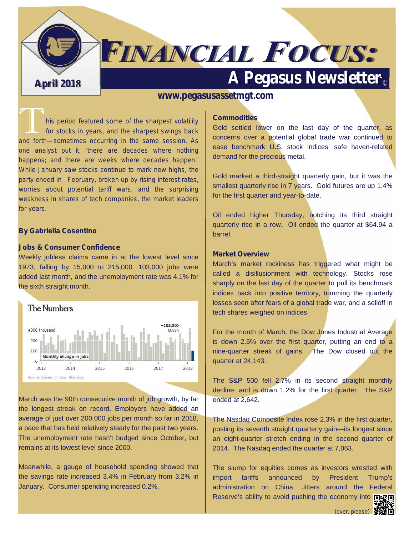

# **FINANCIAL FOCUS:**

## **April 2018 A Pegasus Newsletter**

#### **www.pegasusassetmgt.com**

his period featured some of the sharpest volatility *for stocks in years, and the sharpest swings back and forth—sometimes occurring in the same session. As one analyst put it, 'there are decades where nothing happens; and there are weeks where decades happen.' While January saw stocks continue to mark new highs, the party ended in February, broken up by rising interest rates, worries about potential tariff wars, and the surprising weakness in shares of tech companies, the market leaders for years.*

#### **By Gabriella Cosentino**

#### **Jobs & Consumer Confidence**

Weekly jobless claims came in at the lowest level since 1973, falling by 15,000 to 215,000. 103,000 jobs were added last month, and the unemployment rate was 4.1% for the sixth straight month.



March was the 90th consecutive month of job growth, by far the longest streak on record. Employers have added an average of just over 200,000 jobs per month so far in 2018, a pace that has held relatively steady for the past two years. The unemployment rate hasn't budged since October, but remains at its lowest level since 2000.

Meanwhile, a gauge of household spending showed that the savings rate increased 3.4% in February from 3.2% in  $\parallel$  import January. Consumer spending increased 0.2%.

#### **Commodities**

Gold settled lower on the last day of the quarter, as concerns over a potential global trade war continued to ease benchmark U.S. stock indices' safe haven-related demand for the precious metal.

Gold marked a third-straight quarterly gain, but it was the smallest quarterly rise in 7 years. Gold futures are up 1.4% for the first quarter and year-to-date.

Oil ended higher Thursday, notching its third straight quarterly rise in a row. Oil ended the quarter at \$64.94 a barrel.

#### **Market Overview**

March's market rockiness has triggered what might be called a disillusionment with technology. Stocks rose sharply on the last day of the quarter to pull its benchmark indices back into positive territory, trimming the quarterly losses seen after fears of a global trade war, and a selloff in tech shares weighed on indices.

For the month of March, the Dow Jones Industrial Average is down 2.5% over the first quarter, putting an end to a nine-quarter streak of gains. The Dow closed out the quarter at 24,143.

The S&P 500 fell 2.7% in its second straight monthly decline, and is down 1.2% for the first quarter. The S&P ended at 2,642.

The Nasdaq Composite Index rose 2.3% in the first quarter, posting its seventh straight quarterly gain—its longest since an eight-quarter stretch ending in the second quarter of 2014. The Nasdaq ended the quarter at 7,063.

The slump for equities comes as investors wrestled with tariffs announced by President Trump's administration on China. Jitters around the Federal Reserve's ability to avoid pushing the economy into **number**